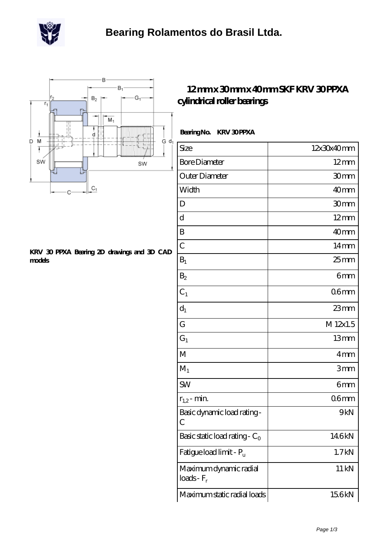



## **[KRV 30 PPXA Bearing 2D drawings and 3D CAD](https://scottrobertalexander.com/pic-539744.html) [models](https://scottrobertalexander.com/pic-539744.html)**

## **[12 mm x 30 mm x 40 mm SKF KRV 30 PPXA](https://scottrobertalexander.com/skf-krv-30-ppxa-bearing/) [cylindrical roller bearings](https://scottrobertalexander.com/skf-krv-30-ppxa-bearing/)**

## Bearing No. **KRV 30 PPXA**

| Size                                      | 12x30x40mm     |
|-------------------------------------------|----------------|
| <b>Bore Diameter</b>                      | $12 \text{mm}$ |
| Outer Diameter                            | 30mm           |
| Width                                     | 40mm           |
| D                                         | 30mm           |
| d                                         | $12 \text{mm}$ |
| B                                         | 40mm           |
| $\overline{C}$                            | $14 \text{mm}$ |
| $B_1$                                     | $25$ mm        |
| B <sub>2</sub>                            | 6mm            |
| $C_1$                                     | 06mm           |
| $d_1$                                     | $23$ mm        |
| G                                         | M 12x1.5       |
| $G_1$                                     | 13mm           |
| M                                         | 4mm            |
| $M_1$                                     | 3mm            |
| <b>SW</b>                                 | 6mm            |
| $r_{1,2}$ - min.                          | 06mm           |
| Basic dynamic load rating-<br>C           | 9kN            |
| Basic static load rating - $C_0$          | 146kN          |
| Fatigue load limit - P <sub>u</sub>       | 1.7kN          |
| Maximum dynamic radial<br>$loads$ - $F_r$ | 11 kN          |
| Maximum static radial loads               | 156kN          |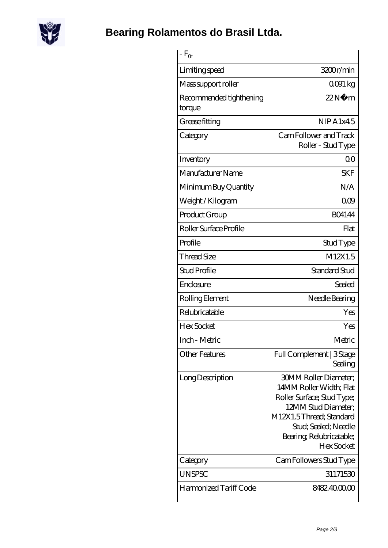

**[Bearing Rolamentos do Brasil Ltda.](https://scottrobertalexander.com)**

| $-F_{\alpha}$                     |                                                                                                                                                                                                           |
|-----------------------------------|-----------------------------------------------------------------------------------------------------------------------------------------------------------------------------------------------------------|
| Limiting speed                    | 3200r/min                                                                                                                                                                                                 |
| Mass support roller               | 0091 kg                                                                                                                                                                                                   |
| Recommended tighthening<br>torque | 22N<br>m                                                                                                                                                                                                  |
| Grease fitting                    | NIPA1x45                                                                                                                                                                                                  |
| Category                          | Cam Follower and Track<br>Roller - Stud Type                                                                                                                                                              |
| Inventory                         | 0 <sub>0</sub>                                                                                                                                                                                            |
| Manufacturer Name                 | <b>SKF</b>                                                                                                                                                                                                |
| Minimum Buy Quantity              | N/A                                                                                                                                                                                                       |
| Weight / Kilogram                 | 000                                                                                                                                                                                                       |
| Product Group                     | <b>BO4144</b>                                                                                                                                                                                             |
| Roller Surface Profile            | Flat                                                                                                                                                                                                      |
| Profile                           | Stud Type                                                                                                                                                                                                 |
| <b>Thread Size</b>                | M12X1.5                                                                                                                                                                                                   |
| <b>Stud Profile</b>               | Standard Stud                                                                                                                                                                                             |
| Enclosure                         | Sealed                                                                                                                                                                                                    |
| Rolling Element                   | Needle Bearing                                                                                                                                                                                            |
| Relubricatable                    | Yes                                                                                                                                                                                                       |
| <b>Hex Socket</b>                 | Yes                                                                                                                                                                                                       |
| Inch - Metric                     | Metric                                                                                                                                                                                                    |
| <b>Other Features</b>             | Full Complement   3 Stage<br>Sealing                                                                                                                                                                      |
| Long Description                  | <b>30MM Roller Diameter;</b><br>14MM Roller Width; Flat<br>Roller Surface; Stud Type;<br>12MM Stud Diameter:<br>M12X1.5Thread; Standard<br>Stud; Sealed; Needle<br>Bearing, Relubricatable;<br>Hex Socket |
| Category                          | Cam Followers Stud Type                                                                                                                                                                                   |
| <b>UNSPSC</b>                     | 31171530                                                                                                                                                                                                  |
| Harmonized Tariff Code            | 8482400000                                                                                                                                                                                                |